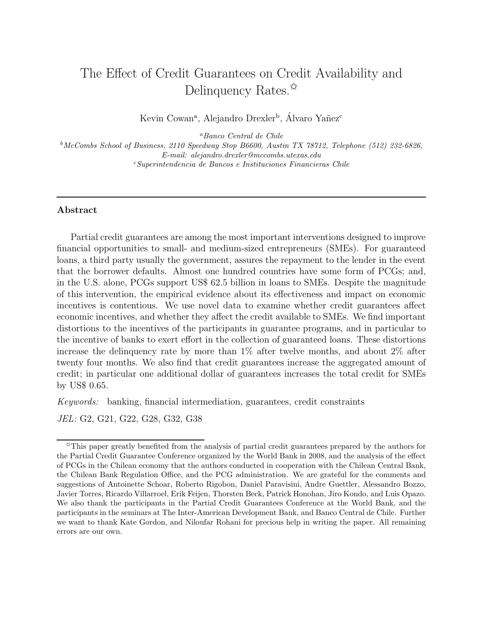# The Effect of Credit Guarantees on Credit Availability and Delinquency Rates. $\mathbb{\hat{X}}$

Kevin Cowan<sup>a</sup>, Alejandro Drexler<sup>b</sup>, Álvaro Yañez<sup>c</sup>

<sup>a</sup>*Banco Central de Chile*

<sup>b</sup>*McCombs School of Business, 2110 Speedway Stop B6600, Austin TX 78712, Telephone (512) 232-6826, E-mail: alejandro.drexler@mccombs.utexas.edu* <sup>c</sup>*Superintendencia de Bancos e Instituciones Financieras Chile*

# Abstract

Partial credit guarantees are among the most important interventions designed to improve financial opportunities to small- and medium-sized entrepreneurs (SMEs). For guaranteed loans, a third party usually the government, assures the repayment to the lender in the event that the borrower defaults. Almost one hundred countries have some form of PCGs; and, in the U.S. alone, PCGs support US\$ 62.5 billion in loans to SMEs. Despite the magnitude of this intervention, the empirical evidence about its effectiveness and impact on economic incentives is contentious. We use novel data to examine whether credit guarantees affect economic incentives, and whether they affect the credit available to SMEs. We find important distortions to the incentives of the participants in guarantee programs, and in particular to the incentive of banks to exert effort in the collection of guaranteed loans. These distortions increase the delinquency rate by more than 1% after twelve months, and about 2% after twenty four months. We also find that credit guarantees increase the aggregated amount of credit; in particular one additional dollar of guarantees increases the total credit for SMEs by US\$ 0.65.

*Keywords:* banking, financial intermediation, guarantees, credit constraints

*JEL:* G2, G21, G22, G28, G32, G38

<sup>✩</sup>This paper greatly benefited from the analysis of partial credit guarantees prepared by the authors for the Partial Credit Guarantee Conference organized by the World Bank in 2008, and the analysis of the effect of PCGs in the Chilean economy that the authors conducted in cooperation with the Chilean Central Bank, the Chilean Bank Regulation Office, and the PCG administration. We are grateful for the comments and suggestions of Antoinette Schoar, Roberto Rigobon, Daniel Paravisini, Andre Guettler, Alessandro Bozzo, Javier Torres, Ricardo Villarroel, Erik Feijen, Thorsten Beck, Patrick Honohan, Jiro Kondo, and Luis Opazo. We also thank the participants in the Partial Credit Guarantees Conference at the World Bank, and the participants in the seminars at The Inter-American Development Bank, and Banco Central de Chile. Further we want to thank Kate Gordon, and Niloufar Rohani for precious help in writing the paper. All remaining errors are our own.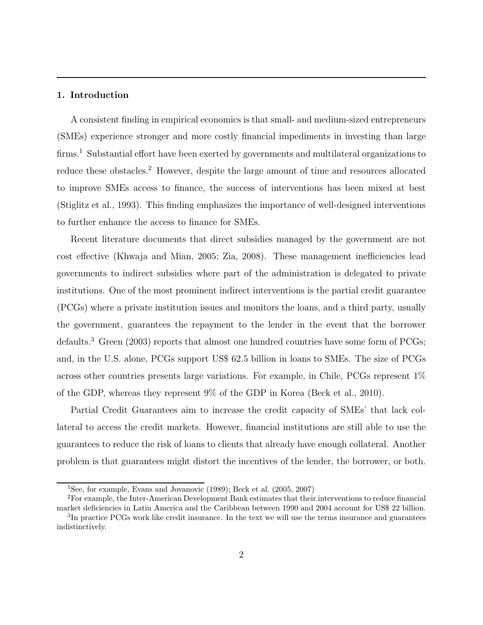# 1. Introduction

A consistent finding in empirical economics is that small- and medium-sized entrepreneurs (SMEs) experience stronger and more costly financial impediments in investing than large firms.<sup>1</sup> Substantial effort have been exerted by governments and multilateral organizations to reduce these obstacles.<sup>2</sup> However, despite the large amount of time and resources allocated to improve SMEs access to finance, the success of interventions has been mixed at best (Stiglitz et al., 1993). This finding emphasizes the importance of well-designed interventions to further enhance the access to finance for SMEs.

Recent literature documents that direct subsidies managed by the government are not cost effective (Khwaja and Mian, 2005; Zia, 2008). These management inefficiencies lead governments to indirect subsidies where part of the administration is delegated to private institutions. One of the most prominent indirect interventions is the partial credit guarantee (PCGs) where a private institution issues and monitors the loans, and a third party, usually the government, guarantees the repayment to the lender in the event that the borrower defaults.<sup>3</sup> Green (2003) reports that almost one hundred countries have some form of PCGs; and, in the U.S. alone, PCGs support US\$ 62.5 billion in loans to SMEs. The size of PCGs across other countries presents large variations. For example, in Chile, PCGs represent 1% of the GDP, whereas they represent 9% of the GDP in Korea (Beck et al., 2010).

Partial Credit Guarantees aim to increase the credit capacity of SMEs' that lack collateral to access the credit markets. However, financial institutions are still able to use the guarantees to reduce the risk of loans to clients that already have enough collateral. Another problem is that guarantees might distort the incentives of the lender, the borrower, or both.

<sup>&</sup>lt;sup>1</sup>See, for example, Evans and Jovanovic  $(1989)$ ; Beck et al.  $(2005, 2007)$ 

<sup>2</sup>For example, the Inter-American Development Bank estimates that their interventions to reduce financial market deficiencies in Latin America and the Caribbean between 1990 and 2004 account for US\$ 22 billion. <sup>3</sup>In practice PCGs work like credit insurance. In the text we will use the terms insurance and guarantees indistinctively.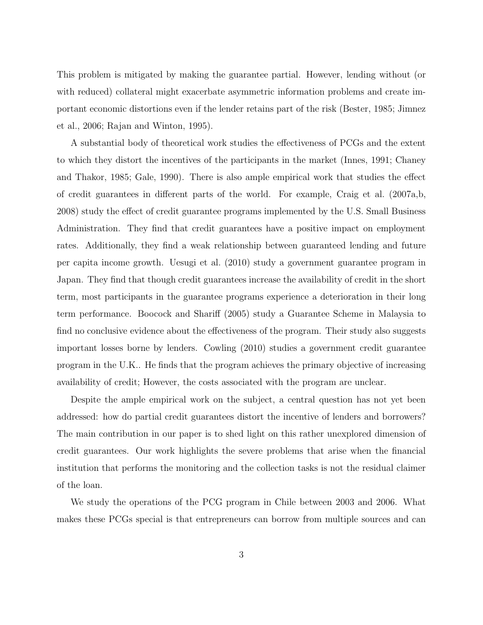This problem is mitigated by making the guarantee partial. However, lending without (or with reduced) collateral might exacerbate asymmetric information problems and create important economic distortions even if the lender retains part of the risk (Bester, 1985; Jimnez et al., 2006; Rajan and Winton, 1995).

A substantial body of theoretical work studies the effectiveness of PCGs and the extent to which they distort the incentives of the participants in the market (Innes, 1991; Chaney and Thakor, 1985; Gale, 1990). There is also ample empirical work that studies the effect of credit guarantees in different parts of the world. For example, Craig et al. (2007a,b, 2008) study the effect of credit guarantee programs implemented by the U.S. Small Business Administration. They find that credit guarantees have a positive impact on employment rates. Additionally, they find a weak relationship between guaranteed lending and future per capita income growth. Uesugi et al. (2010) study a government guarantee program in Japan. They find that though credit guarantees increase the availability of credit in the short term, most participants in the guarantee programs experience a deterioration in their long term performance. Boocock and Shariff (2005) study a Guarantee Scheme in Malaysia to find no conclusive evidence about the effectiveness of the program. Their study also suggests important losses borne by lenders. Cowling (2010) studies a government credit guarantee program in the U.K.. He finds that the program achieves the primary objective of increasing availability of credit; However, the costs associated with the program are unclear.

Despite the ample empirical work on the subject, a central question has not yet been addressed: how do partial credit guarantees distort the incentive of lenders and borrowers? The main contribution in our paper is to shed light on this rather unexplored dimension of credit guarantees. Our work highlights the severe problems that arise when the financial institution that performs the monitoring and the collection tasks is not the residual claimer of the loan.

We study the operations of the PCG program in Chile between 2003 and 2006. What makes these PCGs special is that entrepreneurs can borrow from multiple sources and can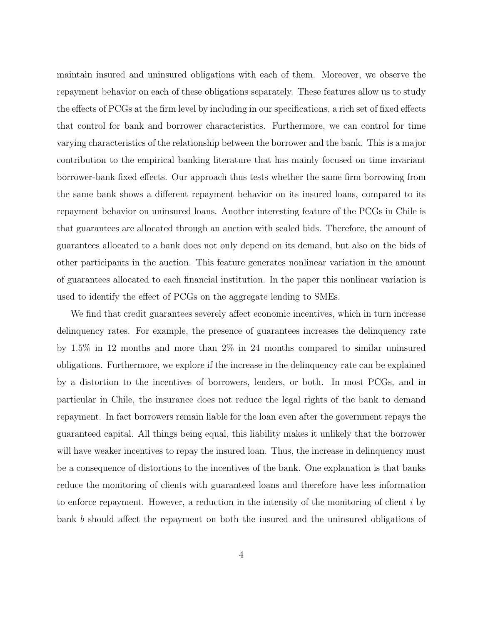maintain insured and uninsured obligations with each of them. Moreover, we observe the repayment behavior on each of these obligations separately. These features allow us to study the effects of PCGs at the firm level by including in our specifications, a rich set of fixed effects that control for bank and borrower characteristics. Furthermore, we can control for time varying characteristics of the relationship between the borrower and the bank. This is a major contribution to the empirical banking literature that has mainly focused on time invariant borrower-bank fixed effects. Our approach thus tests whether the same firm borrowing from the same bank shows a different repayment behavior on its insured loans, compared to its repayment behavior on uninsured loans. Another interesting feature of the PCGs in Chile is that guarantees are allocated through an auction with sealed bids. Therefore, the amount of guarantees allocated to a bank does not only depend on its demand, but also on the bids of other participants in the auction. This feature generates nonlinear variation in the amount of guarantees allocated to each financial institution. In the paper this nonlinear variation is used to identify the effect of PCGs on the aggregate lending to SMEs.

We find that credit guarantees severely affect economic incentives, which in turn increase delinquency rates. For example, the presence of guarantees increases the delinquency rate by 1.5% in 12 months and more than 2% in 24 months compared to similar uninsured obligations. Furthermore, we explore if the increase in the delinquency rate can be explained by a distortion to the incentives of borrowers, lenders, or both. In most PCGs, and in particular in Chile, the insurance does not reduce the legal rights of the bank to demand repayment. In fact borrowers remain liable for the loan even after the government repays the guaranteed capital. All things being equal, this liability makes it unlikely that the borrower will have weaker incentives to repay the insured loan. Thus, the increase in delinquency must be a consequence of distortions to the incentives of the bank. One explanation is that banks reduce the monitoring of clients with guaranteed loans and therefore have less information to enforce repayment. However, a reduction in the intensity of the monitoring of client  $i$  by bank b should affect the repayment on both the insured and the uninsured obligations of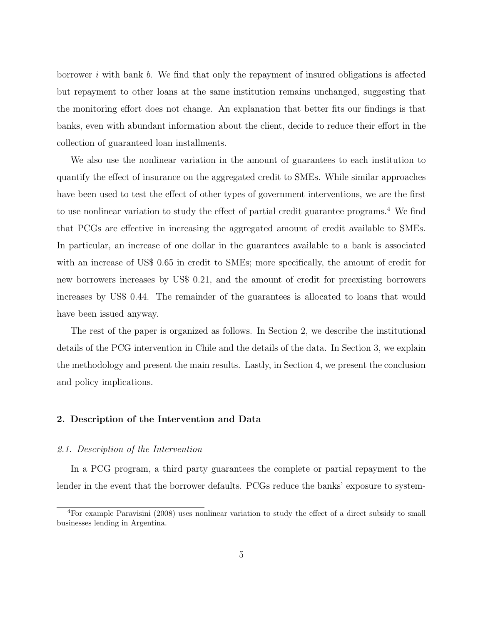borrower i with bank b. We find that only the repayment of insured obligations is affected but repayment to other loans at the same institution remains unchanged, suggesting that the monitoring effort does not change. An explanation that better fits our findings is that banks, even with abundant information about the client, decide to reduce their effort in the collection of guaranteed loan installments.

We also use the nonlinear variation in the amount of guarantees to each institution to quantify the effect of insurance on the aggregated credit to SMEs. While similar approaches have been used to test the effect of other types of government interventions, we are the first to use nonlinear variation to study the effect of partial credit guarantee programs.<sup>4</sup> We find that PCGs are effective in increasing the aggregated amount of credit available to SMEs. In particular, an increase of one dollar in the guarantees available to a bank is associated with an increase of US\$ 0.65 in credit to SMEs; more specifically, the amount of credit for new borrowers increases by US\$ 0.21, and the amount of credit for preexisting borrowers increases by US\$ 0.44. The remainder of the guarantees is allocated to loans that would have been issued anyway.

The rest of the paper is organized as follows. In Section 2, we describe the institutional details of the PCG intervention in Chile and the details of the data. In Section 3, we explain the methodology and present the main results. Lastly, in Section 4, we present the conclusion and policy implications.

# 2. Description of the Intervention and Data

# *2.1. Description of the Intervention*

In a PCG program, a third party guarantees the complete or partial repayment to the lender in the event that the borrower defaults. PCGs reduce the banks' exposure to system-

<sup>4</sup>For example Paravisini (2008) uses nonlinear variation to study the effect of a direct subsidy to small businesses lending in Argentina.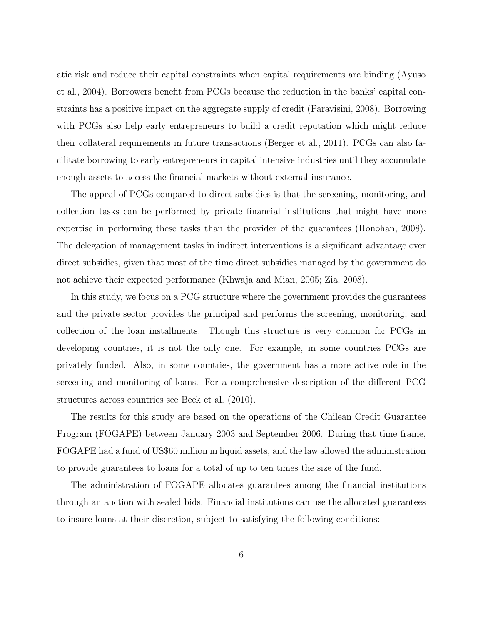atic risk and reduce their capital constraints when capital requirements are binding (Ayuso et al., 2004). Borrowers benefit from PCGs because the reduction in the banks' capital constraints has a positive impact on the aggregate supply of credit (Paravisini, 2008). Borrowing with PCGs also help early entrepreneurs to build a credit reputation which might reduce their collateral requirements in future transactions (Berger et al., 2011). PCGs can also facilitate borrowing to early entrepreneurs in capital intensive industries until they accumulate enough assets to access the financial markets without external insurance.

The appeal of PCGs compared to direct subsidies is that the screening, monitoring, and collection tasks can be performed by private financial institutions that might have more expertise in performing these tasks than the provider of the guarantees (Honohan, 2008). The delegation of management tasks in indirect interventions is a significant advantage over direct subsidies, given that most of the time direct subsidies managed by the government do not achieve their expected performance (Khwaja and Mian, 2005; Zia, 2008).

In this study, we focus on a PCG structure where the government provides the guarantees and the private sector provides the principal and performs the screening, monitoring, and collection of the loan installments. Though this structure is very common for PCGs in developing countries, it is not the only one. For example, in some countries PCGs are privately funded. Also, in some countries, the government has a more active role in the screening and monitoring of loans. For a comprehensive description of the different PCG structures across countries see Beck et al. (2010).

The results for this study are based on the operations of the Chilean Credit Guarantee Program (FOGAPE) between January 2003 and September 2006. During that time frame, FOGAPE had a fund of US\$60 million in liquid assets, and the law allowed the administration to provide guarantees to loans for a total of up to ten times the size of the fund.

The administration of FOGAPE allocates guarantees among the financial institutions through an auction with sealed bids. Financial institutions can use the allocated guarantees to insure loans at their discretion, subject to satisfying the following conditions: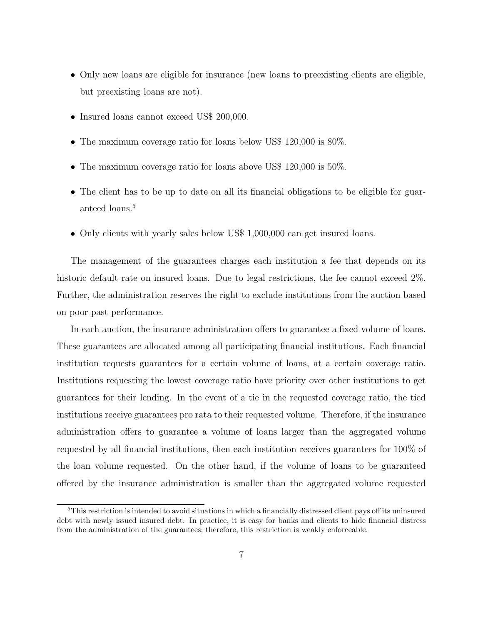- Only new loans are eligible for insurance (new loans to preexisting clients are eligible, but preexisting loans are not).
- Insured loans cannot exceed US\$ 200,000.
- The maximum coverage ratio for loans below US\$ 120,000 is  $80\%$ .
- The maximum coverage ratio for loans above US\$ 120,000 is 50%.
- The client has to be up to date on all its financial obligations to be eligible for guaranteed loans.<sup>5</sup>
- Only clients with yearly sales below US\$ 1,000,000 can get insured loans.

The management of the guarantees charges each institution a fee that depends on its historic default rate on insured loans. Due to legal restrictions, the fee cannot exceed  $2\%$ . Further, the administration reserves the right to exclude institutions from the auction based on poor past performance.

In each auction, the insurance administration offers to guarantee a fixed volume of loans. These guarantees are allocated among all participating financial institutions. Each financial institution requests guarantees for a certain volume of loans, at a certain coverage ratio. Institutions requesting the lowest coverage ratio have priority over other institutions to get guarantees for their lending. In the event of a tie in the requested coverage ratio, the tied institutions receive guarantees pro rata to their requested volume. Therefore, if the insurance administration offers to guarantee a volume of loans larger than the aggregated volume requested by all financial institutions, then each institution receives guarantees for 100% of the loan volume requested. On the other hand, if the volume of loans to be guaranteed offered by the insurance administration is smaller than the aggregated volume requested

<sup>&</sup>lt;sup>5</sup>This restriction is intended to avoid situations in which a financially distressed client pays off its uninsured debt with newly issued insured debt. In practice, it is easy for banks and clients to hide financial distress from the administration of the guarantees; therefore, this restriction is weakly enforceable.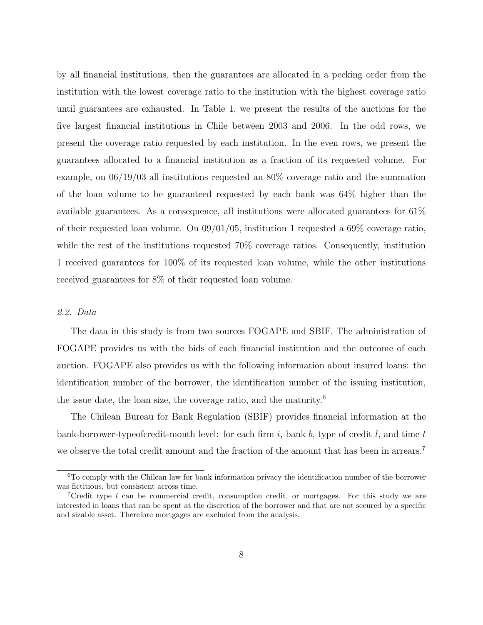by all financial institutions, then the guarantees are allocated in a pecking order from the institution with the lowest coverage ratio to the institution with the highest coverage ratio until guarantees are exhausted. In Table 1, we present the results of the auctions for the five largest financial institutions in Chile between 2003 and 2006. In the odd rows, we present the coverage ratio requested by each institution. In the even rows, we present the guarantees allocated to a financial institution as a fraction of its requested volume. For example, on 06/19/03 all institutions requested an 80% coverage ratio and the summation of the loan volume to be guaranteed requested by each bank was 64% higher than the available guarantees. As a consequence, all institutions were allocated guarantees for 61% of their requested loan volume. On 09/01/05, institution 1 requested a 69% coverage ratio, while the rest of the institutions requested  $70\%$  coverage ratios. Consequently, institution 1 received guarantees for 100% of its requested loan volume, while the other institutions received guarantees for 8% of their requested loan volume.

# *2.2. Data*

The data in this study is from two sources FOGAPE and SBIF. The administration of FOGAPE provides us with the bids of each financial institution and the outcome of each auction. FOGAPE also provides us with the following information about insured loans: the identification number of the borrower, the identification number of the issuing institution, the issue date, the loan size, the coverage ratio, and the maturity.<sup>6</sup>

The Chilean Bureau for Bank Regulation (SBIF) provides financial information at the bank-borrower-typeofcredit-month level: for each firm i, bank b, type of credit l, and time t we observe the total credit amount and the fraction of the amount that has been in arrears.<sup>7</sup>

<sup>6</sup>To comply with the Chilean law for bank information privacy the identification number of the borrower was fictitious, but consistent across time.

<sup>&</sup>lt;sup>7</sup>Credit type l can be commercial credit, consumption credit, or mortgages. For this study we are interested in loans that can be spent at the discretion of the borrower and that are not secured by a specific and sizable asset. Therefore mortgages are excluded from the analysis.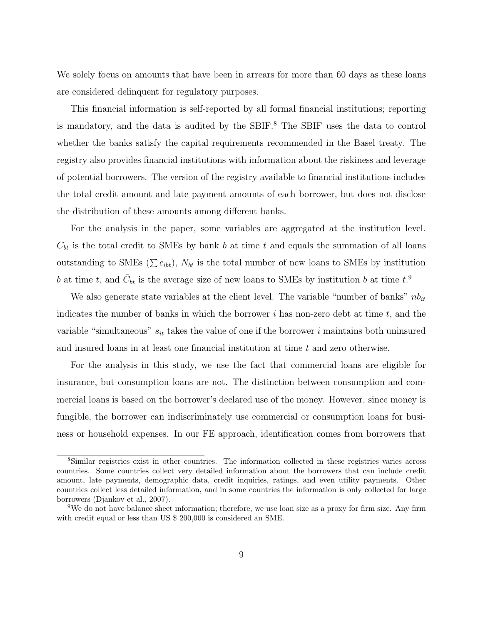We solely focus on amounts that have been in arrears for more than 60 days as these loans are considered delinquent for regulatory purposes.

This financial information is self-reported by all formal financial institutions; reporting is mandatory, and the data is audited by the SBIF.<sup>8</sup> The SBIF uses the data to control whether the banks satisfy the capital requirements recommended in the Basel treaty. The registry also provides financial institutions with information about the riskiness and leverage of potential borrowers. The version of the registry available to financial institutions includes the total credit amount and late payment amounts of each borrower, but does not disclose the distribution of these amounts among different banks.

For the analysis in the paper, some variables are aggregated at the institution level.  $C_{bt}$  is the total credit to SMEs by bank b at time t and equals the summation of all loans outstanding to SMEs ( $\sum c_{ibt}$ ),  $N_{bt}$  is the total number of new loans to SMEs by institution b at time t, and  $\bar{C}_{bt}$  is the average size of new loans to SMEs by institution b at time t.<sup>9</sup>

We also generate state variables at the client level. The variable "number of banks"  $nb_{it}$ indicates the number of banks in which the borrower i has non-zero debt at time  $t$ , and the variable "simultaneous"  $s_{it}$  takes the value of one if the borrower i maintains both uninsured and insured loans in at least one financial institution at time t and zero otherwise.

For the analysis in this study, we use the fact that commercial loans are eligible for insurance, but consumption loans are not. The distinction between consumption and commercial loans is based on the borrower's declared use of the money. However, since money is fungible, the borrower can indiscriminately use commercial or consumption loans for business or household expenses. In our FE approach, identification comes from borrowers that

<sup>8</sup>Similar registries exist in other countries. The information collected in these registries varies across countries. Some countries collect very detailed information about the borrowers that can include credit amount, late payments, demographic data, credit inquiries, ratings, and even utility payments. Other countries collect less detailed information, and in some countries the information is only collected for large borrowers (Djankov et al., 2007).

<sup>9</sup>We do not have balance sheet information; therefore, we use loan size as a proxy for firm size. Any firm with credit equal or less than US \$ 200,000 is considered an SME.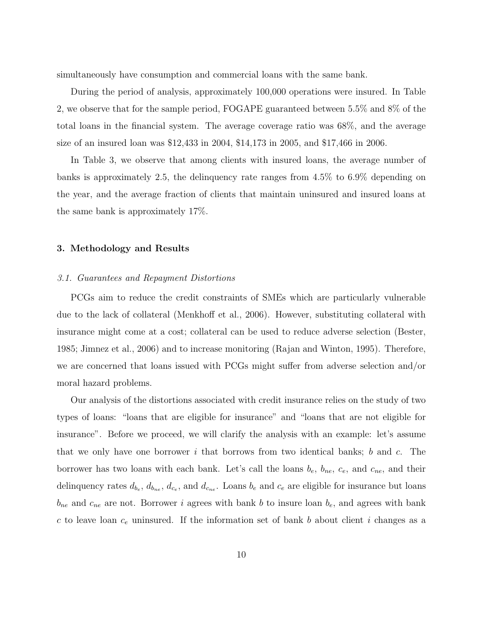simultaneously have consumption and commercial loans with the same bank.

During the period of analysis, approximately 100,000 operations were insured. In Table 2, we observe that for the sample period, FOGAPE guaranteed between 5.5% and 8% of the total loans in the financial system. The average coverage ratio was 68%, and the average size of an insured loan was \$12,433 in 2004, \$14,173 in 2005, and \$17,466 in 2006.

In Table 3, we observe that among clients with insured loans, the average number of banks is approximately 2.5, the delinquency rate ranges from 4.5% to 6.9% depending on the year, and the average fraction of clients that maintain uninsured and insured loans at the same bank is approximately 17%.

# 3. Methodology and Results

#### *3.1. Guarantees and Repayment Distortions*

PCGs aim to reduce the credit constraints of SMEs which are particularly vulnerable due to the lack of collateral (Menkhoff et al., 2006). However, substituting collateral with insurance might come at a cost; collateral can be used to reduce adverse selection (Bester, 1985; Jimnez et al., 2006) and to increase monitoring (Rajan and Winton, 1995). Therefore, we are concerned that loans issued with PCGs might suffer from adverse selection and/or moral hazard problems.

Our analysis of the distortions associated with credit insurance relies on the study of two types of loans: "loans that are eligible for insurance" and "loans that are not eligible for insurance". Before we proceed, we will clarify the analysis with an example: let's assume that we only have one borrower i that borrows from two identical banks; b and c. The borrower has two loans with each bank. Let's call the loans  $b_e$ ,  $b_{ne}$ ,  $c_e$ , and  $c_{ne}$ , and their delinquency rates  $d_{b_e}$ ,  $d_{b_{ne}}$ ,  $d_{c_e}$ , and  $d_{c_{ne}}$ . Loans  $b_e$  and  $c_e$  are eligible for insurance but loans  $b_{ne}$  and  $c_{ne}$  are not. Borrower *i* agrees with bank *b* to insure loan  $b_e$ , and agrees with bank c to leave loan  $c_e$  uninsured. If the information set of bank b about client i changes as a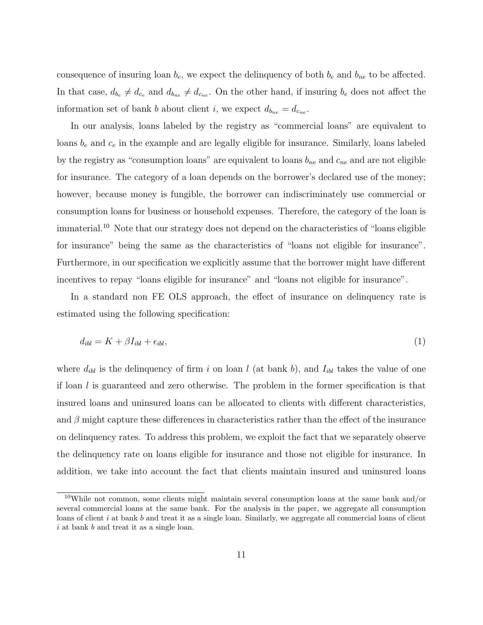consequence of insuring loan  $b_e$ , we expect the delinquency of both  $b_e$  and  $b_{ne}$  to be affected. In that case,  $d_{b_e} \neq d_{c_e}$  and  $d_{b_{ne}} \neq d_{c_{ne}}$ . On the other hand, if insuring  $b_e$  does not affect the information set of bank b about client i, we expect  $d_{b_{ne}} = d_{c_{ne}}$ .

In our analysis, loans labeled by the registry as "commercial loans" are equivalent to loans  $b_e$  and  $c_e$  in the example and are legally eligible for insurance. Similarly, loans labeled by the registry as "consumption loans" are equivalent to loans  $b_{ne}$  and  $c_{ne}$  and are not eligible for insurance. The category of a loan depends on the borrower's declared use of the money; however, because money is fungible, the borrower can indiscriminately use commercial or consumption loans for business or household expenses. Therefore, the category of the loan is immaterial.<sup>10</sup> Note that our strategy does not depend on the characteristics of "loans eligible for insurance" being the same as the characteristics of "loans not eligible for insurance". Furthermore, in our specification we explicitly assume that the borrower might have different incentives to repay "loans eligible for insurance" and "loans not eligible for insurance".

In a standard non FE OLS approach, the effect of insurance on delinquency rate is estimated using the following specification:

$$
d_{ibl} = K + \beta I_{ibl} + \epsilon_{ibl},\tag{1}
$$

where  $d_{ibl}$  is the delinquency of firm i on loan l (at bank b), and  $I_{ibl}$  takes the value of one if loan l is guaranteed and zero otherwise. The problem in the former specification is that insured loans and uninsured loans can be allocated to clients with different characteristics, and  $\beta$  might capture these differences in characteristics rather than the effect of the insurance on delinquency rates. To address this problem, we exploit the fact that we separately observe the delinquency rate on loans eligible for insurance and those not eligible for insurance. In addition, we take into account the fact that clients maintain insured and uninsured loans

<sup>&</sup>lt;sup>10</sup>While not common, some clients might maintain several consumption loans at the same bank and/or several commercial loans at the same bank. For the analysis in the paper, we aggregate all consumption loans of client  $i$  at bank  $b$  and treat it as a single loan. Similarly, we aggregate all commercial loans of client i at bank b and treat it as a single loan.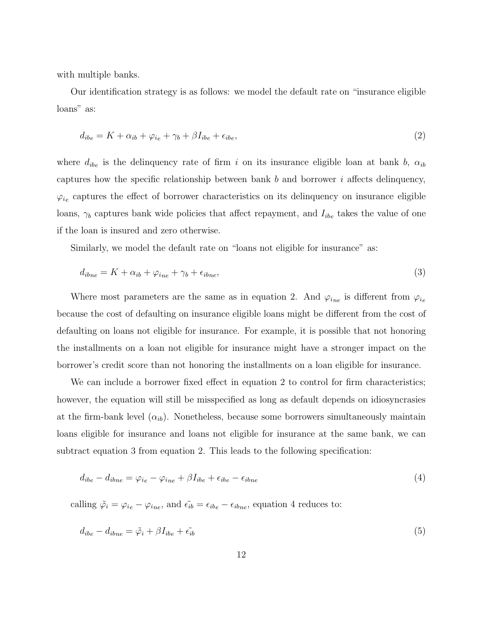with multiple banks.

Our identification strategy is as follows: we model the default rate on "insurance eligible loans" as:

$$
d_{ibe} = K + \alpha_{ib} + \varphi_{ie} + \gamma_b + \beta I_{ibe} + \epsilon_{ibe},\tag{2}
$$

where  $d_{ibe}$  is the delinquency rate of firm i on its insurance eligible loan at bank b,  $\alpha_{ib}$ captures how the specific relationship between bank  $b$  and borrower  $i$  affects delinquency,  $\varphi_{i_e}$  captures the effect of borrower characteristics on its delinquency on insurance eligible loans,  $\gamma_b$  captures bank wide policies that affect repayment, and  $I_{ibe}$  takes the value of one if the loan is insured and zero otherwise.

Similarly, we model the default rate on "loans not eligible for insurance" as:

$$
d_{ibne} = K + \alpha_{ib} + \varphi_{ine} + \gamma_b + \epsilon_{ibne},\tag{3}
$$

Where most parameters are the same as in equation 2. And  $\varphi_{i_{ne}}$  is different from  $\varphi_{i_{e}}$ because the cost of defaulting on insurance eligible loans might be different from the cost of defaulting on loans not eligible for insurance. For example, it is possible that not honoring the installments on a loan not eligible for insurance might have a stronger impact on the borrower's credit score than not honoring the installments on a loan eligible for insurance.

We can include a borrower fixed effect in equation 2 to control for firm characteristics; however, the equation will still be misspecified as long as default depends on idiosyncrasies at the firm-bank level  $(\alpha_{ib})$ . Nonetheless, because some borrowers simultaneously maintain loans eligible for insurance and loans not eligible for insurance at the same bank, we can subtract equation 3 from equation 2. This leads to the following specification:

$$
d_{ibe} - d_{ibne} = \varphi_{ie} - \varphi_{ine} + \beta I_{ibe} + \epsilon_{ibe} - \epsilon_{ibne}
$$
\n
$$
\tag{4}
$$

calling  $\tilde{\varphi}_i = \varphi_{ie} - \varphi_{ine}$ , and  $\tilde{\epsilon}_{ib} = \epsilon_{ib} - \epsilon_{ibne}$ , equation 4 reduces to:

$$
d_{ibe} - d_{ibne} = \tilde{\varphi}_i + \beta I_{ibe} + \tilde{\epsilon}_{ib} \tag{5}
$$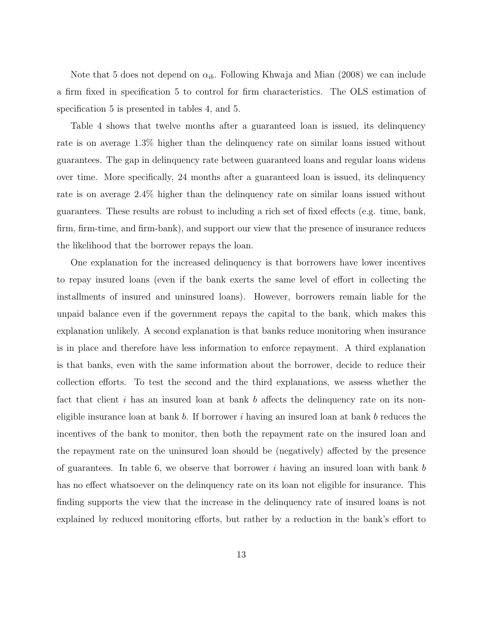Note that 5 does not depend on  $\alpha_{ib}$ . Following Khwaja and Mian (2008) we can include a firm fixed in specification 5 to control for firm characteristics. The OLS estimation of specification 5 is presented in tables 4, and 5.

Table 4 shows that twelve months after a guaranteed loan is issued, its delinquency rate is on average 1.3% higher than the delinquency rate on similar loans issued without guarantees. The gap in delinquency rate between guaranteed loans and regular loans widens over time. More specifically, 24 months after a guaranteed loan is issued, its delinquency rate is on average 2.4% higher than the delinquency rate on similar loans issued without guarantees. These results are robust to including a rich set of fixed effects (e.g. time, bank, firm, firm-time, and firm-bank), and support our view that the presence of insurance reduces the likelihood that the borrower repays the loan.

One explanation for the increased delinquency is that borrowers have lower incentives to repay insured loans (even if the bank exerts the same level of effort in collecting the installments of insured and uninsured loans). However, borrowers remain liable for the unpaid balance even if the government repays the capital to the bank, which makes this explanation unlikely. A second explanation is that banks reduce monitoring when insurance is in place and therefore have less information to enforce repayment. A third explanation is that banks, even with the same information about the borrower, decide to reduce their collection efforts. To test the second and the third explanations, we assess whether the fact that client  $i$  has an insured loan at bank  $b$  affects the delinquency rate on its noneligible insurance loan at bank b. If borrower i having an insured loan at bank b reduces the incentives of the bank to monitor, then both the repayment rate on the insured loan and the repayment rate on the uninsured loan should be (negatively) affected by the presence of guarantees. In table 6, we observe that borrower  $i$  having an insured loan with bank  $b$ has no effect whatsoever on the delinquency rate on its loan not eligible for insurance. This finding supports the view that the increase in the delinquency rate of insured loans is not explained by reduced monitoring efforts, but rather by a reduction in the bank's effort to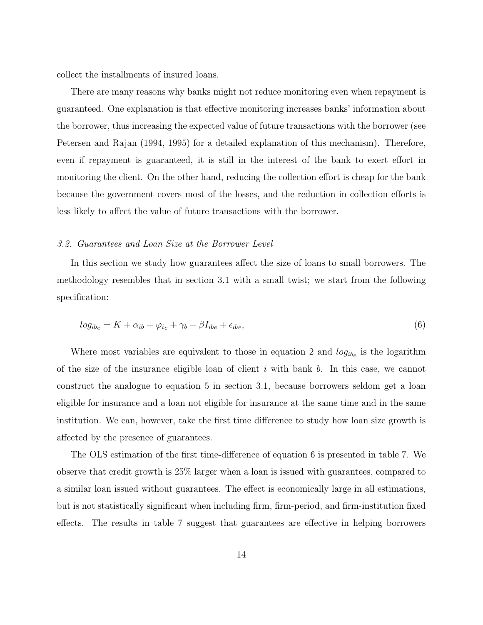collect the installments of insured loans.

There are many reasons why banks might not reduce monitoring even when repayment is guaranteed. One explanation is that effective monitoring increases banks' information about the borrower, thus increasing the expected value of future transactions with the borrower (see Petersen and Rajan (1994, 1995) for a detailed explanation of this mechanism). Therefore, even if repayment is guaranteed, it is still in the interest of the bank to exert effort in monitoring the client. On the other hand, reducing the collection effort is cheap for the bank because the government covers most of the losses, and the reduction in collection efforts is less likely to affect the value of future transactions with the borrower.

#### *3.2. Guarantees and Loan Size at the Borrower Level*

In this section we study how guarantees affect the size of loans to small borrowers. The methodology resembles that in section 3.1 with a small twist; we start from the following specification:

$$
log_{ib_e} = K + \alpha_{ib} + \varphi_{ie} + \gamma_b + \beta I_{ibe} + \epsilon_{ibe},\tag{6}
$$

Where most variables are equivalent to those in equation 2 and  $log_{ib_e}$  is the logarithm of the size of the insurance eligible loan of client  $i$  with bank  $b$ . In this case, we cannot construct the analogue to equation 5 in section 3.1, because borrowers seldom get a loan eligible for insurance and a loan not eligible for insurance at the same time and in the same institution. We can, however, take the first time difference to study how loan size growth is affected by the presence of guarantees.

The OLS estimation of the first time-difference of equation 6 is presented in table 7. We observe that credit growth is 25% larger when a loan is issued with guarantees, compared to a similar loan issued without guarantees. The effect is economically large in all estimations, but is not statistically significant when including firm, firm-period, and firm-institution fixed effects. The results in table 7 suggest that guarantees are effective in helping borrowers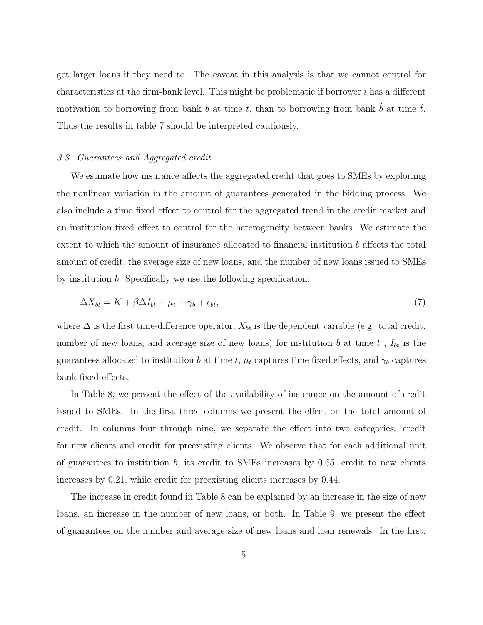get larger loans if they need to. The caveat in this analysis is that we cannot control for characteristics at the firm-bank level. This might be problematic if borrower  $i$  has a different motivation to borrowing from bank b at time t, than to borrowing from bank  $\tilde{b}$  at time  $\tilde{t}$ . Thus the results in table 7 should be interpreted cautiously.

#### *3.3. Guarantees and Aggregated credit*

We estimate how insurance affects the aggregated credit that goes to SMEs by exploiting the nonlinear variation in the amount of guarantees generated in the bidding process. We also include a time fixed effect to control for the aggregated trend in the credit market and an institution fixed effect to control for the heterogeneity between banks. We estimate the extent to which the amount of insurance allocated to financial institution b affects the total amount of credit, the average size of new loans, and the number of new loans issued to SMEs by institution b. Specifically we use the following specification:

$$
\Delta X_{bt} = K + \beta \Delta I_{bt} + \mu_t + \gamma_b + \epsilon_{bt},\tag{7}
$$

where  $\Delta$  is the first time-difference operator,  $X_{bt}$  is the dependent variable (e.g. total credit, number of new loans, and average size of new loans) for institution b at time  $t$ ,  $I_{bt}$  is the guarantees allocated to institution b at time t,  $\mu_t$  captures time fixed effects, and  $\gamma_b$  captures bank fixed effects.

In Table 8, we present the effect of the availability of insurance on the amount of credit issued to SMEs. In the first three columns we present the effect on the total amount of credit. In columns four through nine, we separate the effect into two categories: credit for new clients and credit for preexisting clients. We observe that for each additional unit of guarantees to institution  $b$ , its credit to SMEs increases by 0.65, credit to new clients increases by 0.21, while credit for preexisting clients increases by 0.44.

The increase in credit found in Table 8 can be explained by an increase in the size of new loans, an increase in the number of new loans, or both. In Table 9, we present the effect of guarantees on the number and average size of new loans and loan renewals. In the first,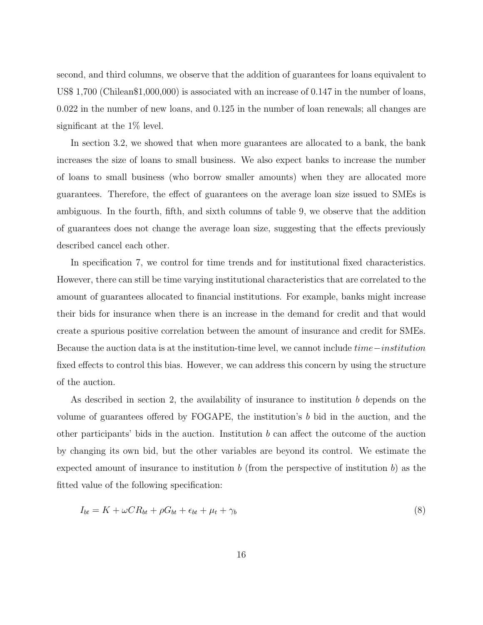second, and third columns, we observe that the addition of guarantees for loans equivalent to US\$ 1,700 (Chilean\$1,000,000) is associated with an increase of 0.147 in the number of loans, 0.022 in the number of new loans, and 0.125 in the number of loan renewals; all changes are significant at the 1% level.

In section 3.2, we showed that when more guarantees are allocated to a bank, the bank increases the size of loans to small business. We also expect banks to increase the number of loans to small business (who borrow smaller amounts) when they are allocated more guarantees. Therefore, the effect of guarantees on the average loan size issued to SMEs is ambiguous. In the fourth, fifth, and sixth columns of table 9, we observe that the addition of guarantees does not change the average loan size, suggesting that the effects previously described cancel each other.

In specification 7, we control for time trends and for institutional fixed characteristics. However, there can still be time varying institutional characteristics that are correlated to the amount of guarantees allocated to financial institutions. For example, banks might increase their bids for insurance when there is an increase in the demand for credit and that would create a spurious positive correlation between the amount of insurance and credit for SMEs. Because the auction data is at the institution-time level, we cannot include time−institution fixed effects to control this bias. However, we can address this concern by using the structure of the auction.

As described in section 2, the availability of insurance to institution b depends on the volume of guarantees offered by FOGAPE, the institution's b bid in the auction, and the other participants' bids in the auction. Institution  $b$  can affect the outcome of the auction by changing its own bid, but the other variables are beyond its control. We estimate the expected amount of insurance to institution b (from the perspective of institution b) as the fitted value of the following specification:

$$
I_{bt} = K + \omega C R_{bt} + \rho G_{bt} + \epsilon_{bt} + \mu_t + \gamma_b \tag{8}
$$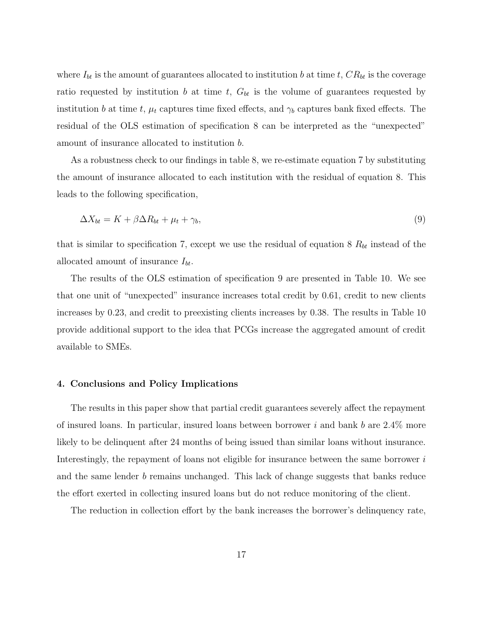where  $I_{bt}$  is the amount of guarantees allocated to institution b at time t,  $CR_{bt}$  is the coverage ratio requested by institution b at time t,  $G_{bt}$  is the volume of guarantees requested by institution b at time t,  $\mu_t$  captures time fixed effects, and  $\gamma_b$  captures bank fixed effects. The residual of the OLS estimation of specification 8 can be interpreted as the "unexpected" amount of insurance allocated to institution b.

As a robustness check to our findings in table 8, we re-estimate equation 7 by substituting the amount of insurance allocated to each institution with the residual of equation 8. This leads to the following specification,

$$
\Delta X_{bt} = K + \beta \Delta R_{bt} + \mu_t + \gamma_b,\tag{9}
$$

that is similar to specification 7, except we use the residual of equation  $8 R_{bt}$  instead of the allocated amount of insurance  $I_{bt}$ .

The results of the OLS estimation of specification 9 are presented in Table 10. We see that one unit of "unexpected" insurance increases total credit by 0.61, credit to new clients increases by 0.23, and credit to preexisting clients increases by 0.38. The results in Table 10 provide additional support to the idea that PCGs increase the aggregated amount of credit available to SMEs.

#### 4. Conclusions and Policy Implications

The results in this paper show that partial credit guarantees severely affect the repayment of insured loans. In particular, insured loans between borrower  $i$  and bank  $b$  are  $2.4\%$  more likely to be delinquent after 24 months of being issued than similar loans without insurance. Interestingly, the repayment of loans not eligible for insurance between the same borrower is and the same lender b remains unchanged. This lack of change suggests that banks reduce the effort exerted in collecting insured loans but do not reduce monitoring of the client.

The reduction in collection effort by the bank increases the borrower's delinquency rate,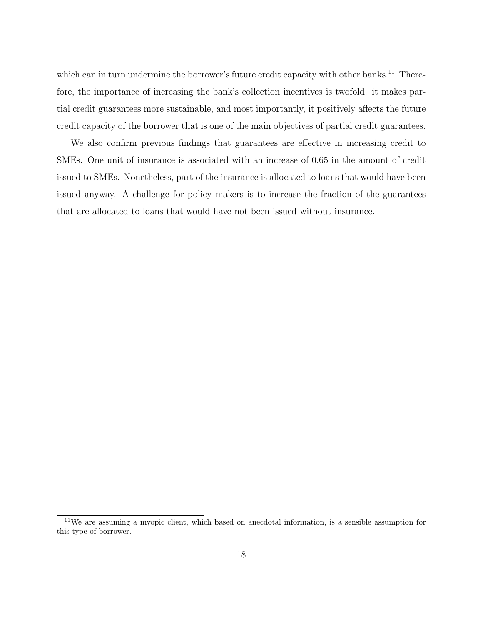which can in turn undermine the borrower's future credit capacity with other banks.<sup>11</sup> Therefore, the importance of increasing the bank's collection incentives is twofold: it makes partial credit guarantees more sustainable, and most importantly, it positively affects the future credit capacity of the borrower that is one of the main objectives of partial credit guarantees.

We also confirm previous findings that guarantees are effective in increasing credit to SMEs. One unit of insurance is associated with an increase of 0.65 in the amount of credit issued to SMEs. Nonetheless, part of the insurance is allocated to loans that would have been issued anyway. A challenge for policy makers is to increase the fraction of the guarantees that are allocated to loans that would have not been issued without insurance.

 $11$ We are assuming a myopic client, which based on anecdotal information, is a sensible assumption for this type of borrower.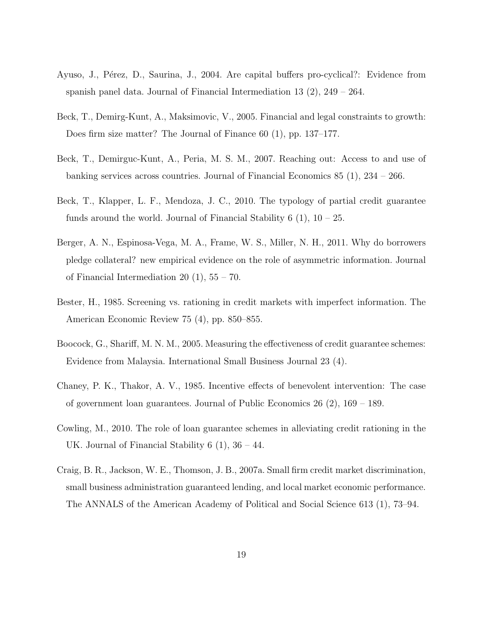- Ayuso, J., Pérez, D., Saurina, J., 2004. Are capital buffers pro-cyclical?: Evidence from spanish panel data. Journal of Financial Intermediation 13  $(2)$ , 249 – 264.
- Beck, T., Demirg-Kunt, A., Maksimovic, V., 2005. Financial and legal constraints to growth: Does firm size matter? The Journal of Finance 60 (1), pp. 137–177.
- Beck, T., Demirguc-Kunt, A., Peria, M. S. M., 2007. Reaching out: Access to and use of banking services across countries. Journal of Financial Economics 85 (1), 234 – 266.
- Beck, T., Klapper, L. F., Mendoza, J. C., 2010. The typology of partial credit guarantee funds around the world. Journal of Financial Stability  $6(1)$ ,  $10-25$ .
- Berger, A. N., Espinosa-Vega, M. A., Frame, W. S., Miller, N. H., 2011. Why do borrowers pledge collateral? new empirical evidence on the role of asymmetric information. Journal of Financial Intermediation 20  $(1)$ , 55 – 70.
- Bester, H., 1985. Screening vs. rationing in credit markets with imperfect information. The American Economic Review 75 (4), pp. 850–855.
- Boocock, G., Shariff, M. N. M., 2005. Measuring the effectiveness of credit guarantee schemes: Evidence from Malaysia. International Small Business Journal 23 (4).
- Chaney, P. K., Thakor, A. V., 1985. Incentive effects of benevolent intervention: The case of government loan guarantees. Journal of Public Economics 26 (2), 169 – 189.
- Cowling, M., 2010. The role of loan guarantee schemes in alleviating credit rationing in the UK. Journal of Financial Stability 6 (1), 36 – 44.
- Craig, B. R., Jackson, W. E., Thomson, J. B., 2007a. Small firm credit market discrimination, small business administration guaranteed lending, and local market economic performance. The ANNALS of the American Academy of Political and Social Science 613 (1), 73–94.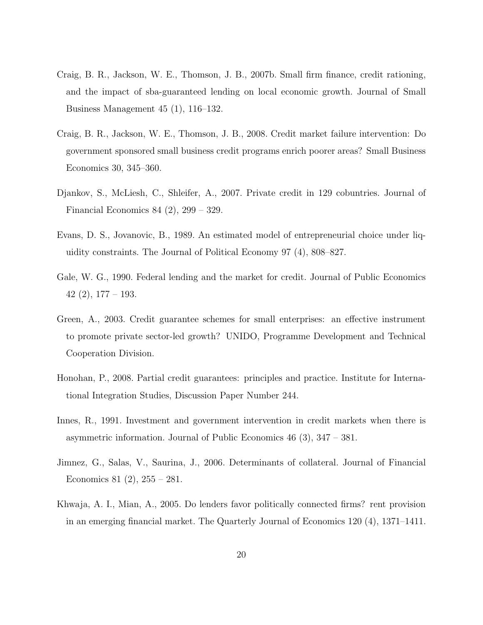- Craig, B. R., Jackson, W. E., Thomson, J. B., 2007b. Small firm finance, credit rationing, and the impact of sba-guaranteed lending on local economic growth. Journal of Small Business Management 45 (1), 116–132.
- Craig, B. R., Jackson, W. E., Thomson, J. B., 2008. Credit market failure intervention: Do government sponsored small business credit programs enrich poorer areas? Small Business Economics 30, 345–360.
- Djankov, S., McLiesh, C., Shleifer, A., 2007. Private credit in 129 cobuntries. Journal of Financial Economics 84 (2), 299 – 329.
- Evans, D. S., Jovanovic, B., 1989. An estimated model of entrepreneurial choice under liquidity constraints. The Journal of Political Economy 97 (4), 808–827.
- Gale, W. G., 1990. Federal lending and the market for credit. Journal of Public Economics  $42(2), 177-193.$
- Green, A., 2003. Credit guarantee schemes for small enterprises: an effective instrument to promote private sector-led growth? UNIDO, Programme Development and Technical Cooperation Division.
- Honohan, P., 2008. Partial credit guarantees: principles and practice. Institute for International Integration Studies, Discussion Paper Number 244.
- Innes, R., 1991. Investment and government intervention in credit markets when there is asymmetric information. Journal of Public Economics 46 (3), 347 – 381.
- Jimnez, G., Salas, V., Saurina, J., 2006. Determinants of collateral. Journal of Financial Economics 81  $(2)$ , 255 – 281.
- Khwaja, A. I., Mian, A., 2005. Do lenders favor politically connected firms? rent provision in an emerging financial market. The Quarterly Journal of Economics 120 (4), 1371–1411.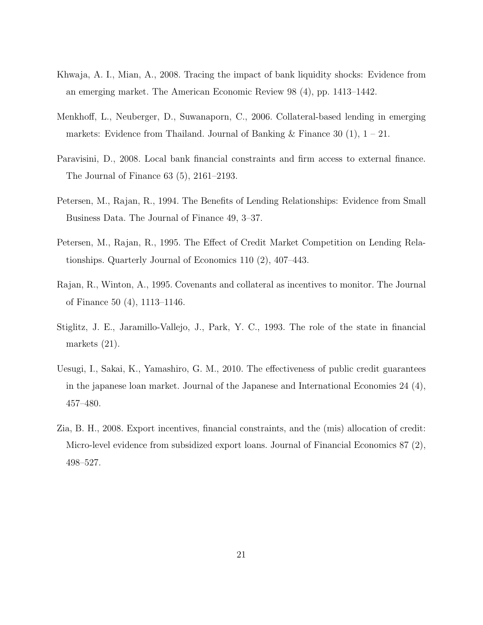- Khwaja, A. I., Mian, A., 2008. Tracing the impact of bank liquidity shocks: Evidence from an emerging market. The American Economic Review 98 (4), pp. 1413–1442.
- Menkhoff, L., Neuberger, D., Suwanaporn, C., 2006. Collateral-based lending in emerging markets: Evidence from Thailand. Journal of Banking & Finance 30  $(1)$ ,  $1 - 21$ .
- Paravisini, D., 2008. Local bank financial constraints and firm access to external finance. The Journal of Finance 63 (5), 2161–2193.
- Petersen, M., Rajan, R., 1994. The Benefits of Lending Relationships: Evidence from Small Business Data. The Journal of Finance 49, 3–37.
- Petersen, M., Rajan, R., 1995. The Effect of Credit Market Competition on Lending Relationships. Quarterly Journal of Economics 110 (2), 407–443.
- Rajan, R., Winton, A., 1995. Covenants and collateral as incentives to monitor. The Journal of Finance 50 (4), 1113–1146.
- Stiglitz, J. E., Jaramillo-Vallejo, J., Park, Y. C., 1993. The role of the state in financial markets (21).
- Uesugi, I., Sakai, K., Yamashiro, G. M., 2010. The effectiveness of public credit guarantees in the japanese loan market. Journal of the Japanese and International Economies 24 (4), 457–480.
- Zia, B. H., 2008. Export incentives, financial constraints, and the (mis) allocation of credit: Micro-level evidence from subsidized export loans. Journal of Financial Economics 87 (2), 498–527.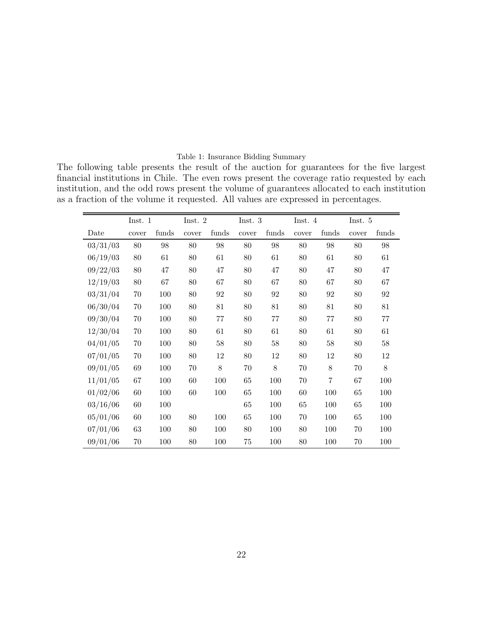#### Table 1: Insurance Bidding Summary

The following table presents the result of the auction for guarantees for the five largest financial institutions in Chile. The even rows present the coverage ratio requested by each institution, and the odd rows present the volume of guarantees allocated to each institution as a fraction of the volume it requested. All values are expressed in percentages.

|          | Inst. 1 |       | Inst. $2$ |        | Inst. 3 |        | Inst. 4 |                | Inst. 5 |        |
|----------|---------|-------|-----------|--------|---------|--------|---------|----------------|---------|--------|
| Date     | cover   | funds | cover     | funds  | cover   | funds  | cover   | funds          | cover   | funds  |
| 03/31/03 | 80      | 98    | 80        | 98     | 80      | 98     | 80      | 98             | 80      | 98     |
| 06/19/03 | $80\,$  | 61    | 80        | 61     | 80      | 61     | 80      | 61             | $80\,$  | 61     |
| 09/22/03 | $80\,$  | 47    | 80        | 47     | 80      | 47     | 80      | 47             | $80\,$  | 47     |
| 12/19/03 | $80\,$  | 67    | $80\,$    | 67     | 80      | 67     | 80      | 67             | $80\,$  | 67     |
| 03/31/04 | 70      | 100   | 80        | 92     | 80      | 92     | 80      | 92             | 80      | 92     |
| 06/30/04 | 70      | 100   | $80\,$    | 81     | 80      | 81     | 80      | 81             | $80\,$  | 81     |
| 09/30/04 | 70      | 100   | $80\,$    | 77     | 80      | $77\,$ | 80      | 77             | $80\,$  | $77\,$ |
| 12/30/04 | 70      | 100   | 80        | 61     | 80      | 61     | 80      | 61             | $80\,$  | 61     |
| 04/01/05 | $70\,$  | 100   | $80\,$    | $58\,$ | 80      | $58\,$ | 80      | 58             | $80\,$  | 58     |
| 07/01/05 | 70      | 100   | 80        | 12     | 80      | 12     | 80      | 12             | $80\,$  | 12     |
| 09/01/05 | 69      | 100   | $70\,$    | 8      | 70      | $8\,$  | 70      | 8              | 70      | $8\,$  |
| 11/01/05 | 67      | 100   | 60        | 100    | 65      | 100    | 70      | $\overline{7}$ | 67      | 100    |
| 01/02/06 | 60      | 100   | 60        | 100    | 65      | 100    | 60      | 100            | 65      | 100    |
| 03/16/06 | 60      | 100   |           |        | 65      | 100    | 65      | 100            | 65      | 100    |
| 05/01/06 | 60      | 100   | 80        | 100    | 65      | 100    | 70      | 100            | 65      | 100    |
| 07/01/06 | 63      | 100   | 80        | 100    | 80      | 100    | 80      | 100            | 70      | 100    |
| 09/01/06 | 70      | 100   | 80        | 100    | 75      | 100    | 80      | 100            | 70      | 100    |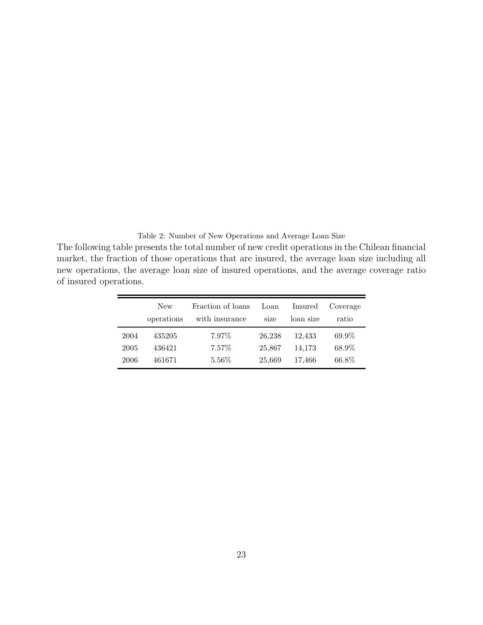Table 2: Number of New Operations and Average Loan Size

The following table presents the total number of new credit operations in the Chilean financial market, the fraction of those operations that are insured, the average loan size including all new operations, the average loan size of insured operations, and the average coverage ratio of insured operations.

|      | <b>New</b><br>operations | Fraction of loans<br>with insurance | Loan<br>size | Insured<br>loan size | Coverage<br>ratio |
|------|--------------------------|-------------------------------------|--------------|----------------------|-------------------|
| 2004 | 435205                   | 7.97%                               | 26,238       | 12.433               | 69.9%             |
| 2005 | 436421                   | $7.57\%$                            | 25,867       | 14.173               | 68.9%             |
| 2006 | 461671                   | $5.56\%$                            | 25,669       | 17.466               | 66.8%             |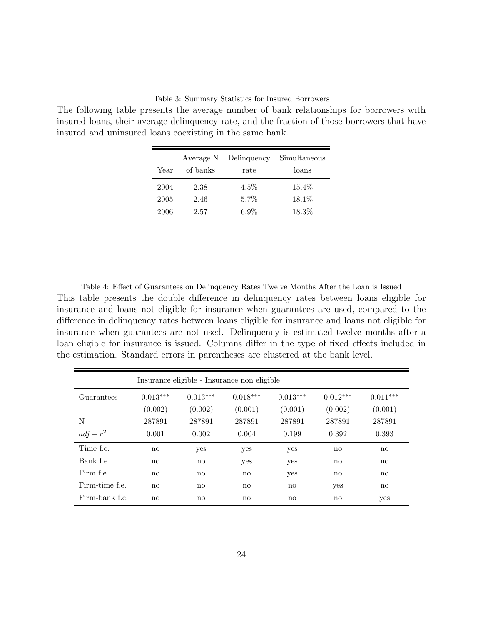# Table 3: Summary Statistics for Insured Borrowers

The following table presents the average number of bank relationships for borrowers with insured loans, their average delinquency rate, and the fraction of those borrowers that have insured and uninsured loans coexisting in the same bank.

|      | Average N | Delinquency | Simultaneous |
|------|-----------|-------------|--------------|
| Year | of banks  | rate        | loans        |
| 2004 | 2.38      | $4.5\%$     | $15.4\%$     |
| 2005 | 2.46      | $5.7\%$     | $18.1\%$     |
| 2006 | 2.57      | $6.9\%$     | 18.3%        |

Table 4: Effect of Guarantees on Delinquency Rates Twelve Months After the Loan is Issued This table presents the double difference in delinquency rates between loans eligible for insurance and loans not eligible for insurance when guarantees are used, compared to the difference in delinquency rates between loans eligible for insurance and loans not eligible for insurance when guarantees are not used. Delinquency is estimated twelve months after a loan eligible for insurance is issued. Columns differ in the type of fixed effects included in the estimation. Standard errors in parentheses are clustered at the bank level.

| Insurance eligible - Insurance non eligible |                        |                        |            |              |            |            |  |  |  |
|---------------------------------------------|------------------------|------------------------|------------|--------------|------------|------------|--|--|--|
| Guarantees                                  | $0.013***$             | $0.013***$             | $0.018***$ | $0.013***$   | $0.012***$ | $0.011***$ |  |  |  |
|                                             | (0.002)                | (0.002)                | (0.001)    | (0.001)      | (0.002)    | (0.001)    |  |  |  |
| N                                           | 287891                 | 287891                 | 287891     | 287891       | 287891     | 287891     |  |  |  |
| $adj - r^2$                                 | 0.001                  | 0.002                  | 0.004      | 0.199        | 0.392      | 0.393      |  |  |  |
| Time f.e.                                   | no                     | yes                    | yes        | yes          | no         | no         |  |  |  |
| Bank f.e.                                   | $\mathbf{n}\mathbf{o}$ | $\mathbf{n}$           | yes        | yes          | no         | no         |  |  |  |
| Firm f.e.                                   | no                     | $\mathbf{n}$           | no         | yes          | no         | no         |  |  |  |
| Firm-time f.e.                              | $\mathbf{n}\mathbf{o}$ | $\mathbf{n}\mathbf{o}$ | no         | $\mathbf{n}$ | yes        | no         |  |  |  |
| Firm-bank f.e.                              | $\mathbf{n}\mathbf{o}$ | $\mathbf{n}$           | no         | $\mathbf{n}$ | no         | yes        |  |  |  |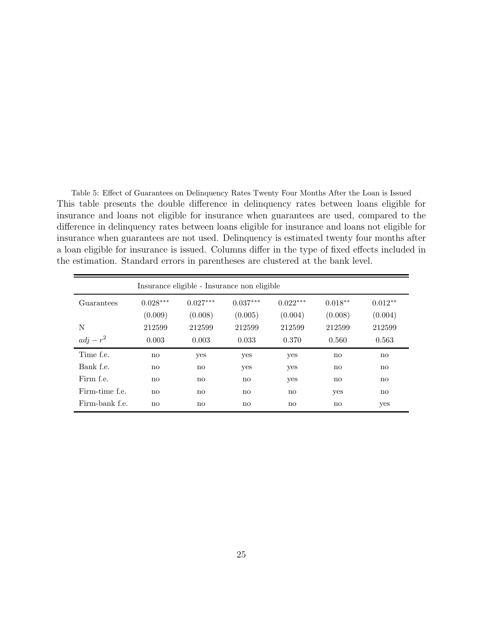Table 5: Effect of Guarantees on Delinquency Rates Twenty Four Months After the Loan is Issued This table presents the double difference in delinquency rates between loans eligible for insurance and loans not eligible for insurance when guarantees are used, compared to the difference in delinquency rates between loans eligible for insurance and loans not eligible for insurance when guarantees are not used. Delinquency is estimated twenty four months after a loan eligible for insurance is issued. Columns differ in the type of fixed effects included in the estimation. Standard errors in parentheses are clustered at the bank level.

|                | Insurance eligible - Insurance non eligible |                        |              |            |              |                        |  |  |  |  |  |
|----------------|---------------------------------------------|------------------------|--------------|------------|--------------|------------------------|--|--|--|--|--|
| Guarantees     | $0.028***$                                  | $0.027***$             | $0.037***$   | $0.022***$ | $0.018**$    | $0.012**$              |  |  |  |  |  |
|                | (0.009)                                     | (0.008)                | (0.005)      | (0.004)    | (0.008)      | (0.004)                |  |  |  |  |  |
| N              | 212599                                      | 212599                 | 212599       | 212599     | 212599       | 212599                 |  |  |  |  |  |
| $adj - r^2$    | 0.003                                       | 0.003                  | 0.033        | 0.370      | 0.560        | 0.563                  |  |  |  |  |  |
| Time f.e.      | no                                          | yes                    | yes          | yes        | $\mathbf{n}$ | $\mathbf{n}\mathbf{o}$ |  |  |  |  |  |
| Bank f.e.      | no                                          | $\mathbf{n}\mathbf{o}$ | yes          | yes        | $\mathbf{n}$ | $\mathbf{n}\mathbf{o}$ |  |  |  |  |  |
| Firm f.e.      | no                                          | $\mathbf{n}\mathbf{o}$ | $\mathbf{n}$ | yes        | $\mathbf{n}$ | $\mathbf{n}\mathbf{o}$ |  |  |  |  |  |
| Firm-time f.e. | no                                          | no                     | no           | no         | yes          | $\mathbf{n}\mathbf{o}$ |  |  |  |  |  |
| Firm-bank f.e. | no                                          | $\mathbf{n}\mathbf{o}$ | no           | no         | $\mathbf{n}$ | yes                    |  |  |  |  |  |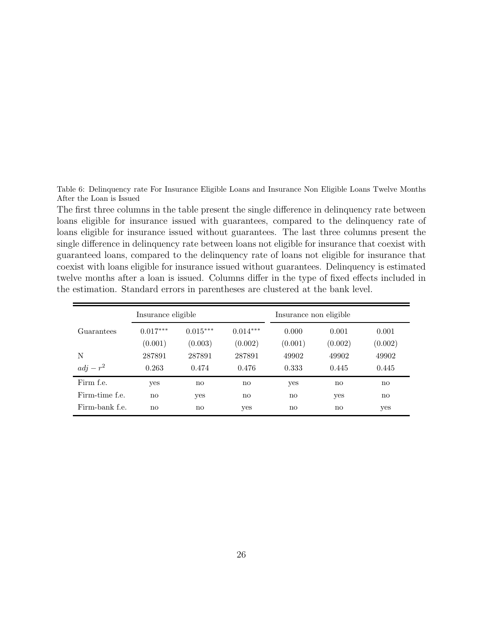Table 6: Delinquency rate For Insurance Eligible Loans and Insurance Non Eligible Loans Twelve Months After the Loan is Issued

The first three columns in the table present the single difference in delinquency rate between loans eligible for insurance issued with guarantees, compared to the delinquency rate of loans eligible for insurance issued without guarantees. The last three columns present the single difference in delinquency rate between loans not eligible for insurance that coexist with guaranteed loans, compared to the delinquency rate of loans not eligible for insurance that coexist with loans eligible for insurance issued without guarantees. Delinquency is estimated twelve months after a loan is issued. Columns differ in the type of fixed effects included in the estimation. Standard errors in parentheses are clustered at the bank level.

|                | Insurance eligible     |                       |                       | Insurance non eligible |                  |                        |  |
|----------------|------------------------|-----------------------|-----------------------|------------------------|------------------|------------------------|--|
| Guarantees     | $0.017***$<br>(0.001)  | $0.015***$<br>(0.003) | $0.014***$<br>(0.002) | 0.000<br>(0.001)       | 0.001<br>(0.002) | 0.001<br>(0.002)       |  |
| N              | 287891                 | 287891                | 287891                | 49902                  | 49902            | 49902                  |  |
| $adj - r^2$    | 0.263                  | 0.474                 | 0.476                 | 0.333                  | 0.445            | 0.445                  |  |
| Firm f.e.      | yes                    | no                    | no                    | yes                    | no               | $\mathbf{n}\mathbf{o}$ |  |
| Firm-time f.e. | $\mathbf{n}\mathbf{o}$ | yes                   | no                    | no                     | yes              | $\mathbf{n}\mathbf{o}$ |  |
| Firm-bank f.e. | $\mathbf{n}\mathbf{o}$ | no                    | yes                   | no                     | no               | yes                    |  |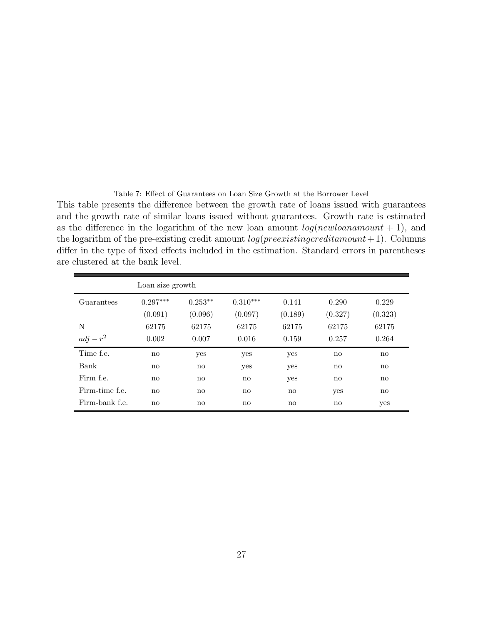Table 7: Effect of Guarantees on Loan Size Growth at the Borrower Level This table presents the difference between the growth rate of loans issued with guarantees and the growth rate of similar loans issued without guarantees. Growth rate is estimated as the difference in the logarithm of the new loan amount  $log(new loan amount + 1)$ , and the logarithm of the pre-existing credit amount  $log(preexisting credit amount + 1)$ . Columns differ in the type of fixed effects included in the estimation. Standard errors in parentheses are clustered at the bank level.

|                | Loan size growth       |           |            |         |                        |              |
|----------------|------------------------|-----------|------------|---------|------------------------|--------------|
| Guarantees     | $0.297***$             | $0.253**$ | $0.310***$ | 0.141   | 0.290                  | 0.229        |
|                | (0.091)                | (0.096)   | (0.097)    | (0.189) | (0.327)                | (0.323)      |
| N              | 62175                  | 62175     | 62175      | 62175   | 62175                  | 62175        |
| $adj - r^2$    | 0.002                  | 0.007     | 0.016      | 0.159   | 0.257                  | 0.264        |
| Time f.e.      | no                     | yes       | yes        | yes     | $\mathbf{n}$           | $\mathbf{n}$ |
| Bank           | $\mathbf{n}\mathbf{o}$ | no        | yes        | yes     | $\mathbf{n}$           | no           |
| Firm f.e.      | $\mathbf{n}$           | no        | no         | yes     | $\mathbf{n}\mathbf{o}$ | $\mathbf{n}$ |
| Firm-time f.e. | $\mathbf{n}\mathbf{o}$ | no        | no         | no      | yes                    | $\mathbf{n}$ |
| Firm-bank f.e. | $\mathbf{n}$           | no        | no         | no      | $\mathbf{n}$           | yes          |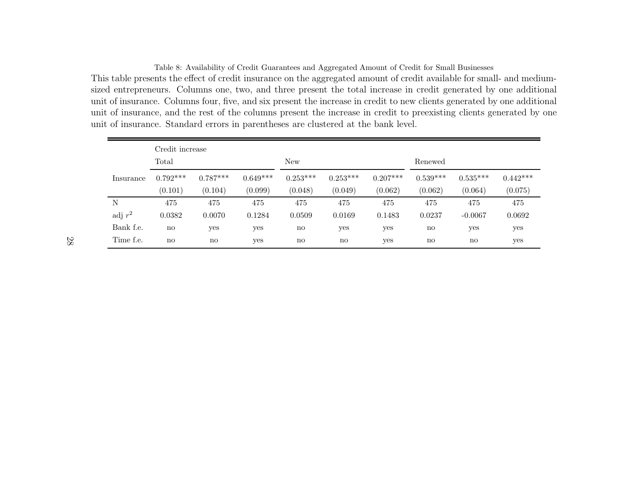Table 8: Availability of Credit Guarantees and Aggregated Amount of Credit for Small Businesses This table presents the effect of credit insurance on the aggregated amount of credit available for small- and mediumsized entrepreneurs. Columns one, two, and three present the total increase in credit generated by one additional unit of insurance. Columns four, five, and six present the increase in credit to new clients generated by one additional unit of insurance, and the rest of the columns present the increase in credit to preexisting clients generated by one unit of insurance. Standard errors in parentheses are clustered at the bank level.

|           | Credit increase        |            |            |                        |            |            |            |                        |            |
|-----------|------------------------|------------|------------|------------------------|------------|------------|------------|------------------------|------------|
|           | Total                  |            |            | <b>New</b>             |            |            | Renewed    |                        |            |
| Insurance | $0.792***$             | $0.787***$ | $0.649***$ | $0.253***$             | $0.253***$ | $0.207***$ | $0.539***$ | $0.535***$             | $0.442***$ |
|           | (0.101)                | (0.104)    | (0.099)    | (0.048)                | (0.049)    | (0.062)    | (0.062)    | (0.064)                | (0.075)    |
| N         | 475                    | 475        | 475        | 475                    | 475        | 475        | 475        | 475                    | 475        |
| adj $r^2$ | 0.0382                 | 0.0070     | 0.1284     | 0.0509                 | 0.0169     | 0.1483     | 0.0237     | $-0.0067$              | 0.0692     |
| Bank f.e. | no                     | yes        | yes        | $\mathbf{n}\mathbf{o}$ | yes        | yes        | no         | yes                    | yes        |
| Time f.e. | $\mathbf{n}\mathbf{o}$ | no         | yes        | no                     | no         | yes        | no         | $\mathbf{n}\mathbf{o}$ | yes        |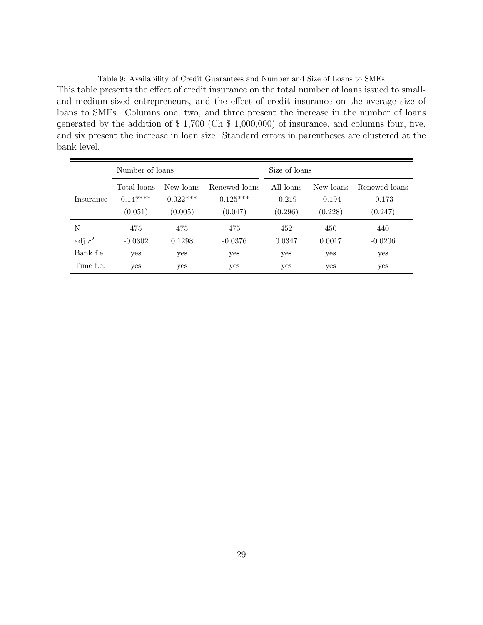Table 9: Availability of Credit Guarantees and Number and Size of Loans to SMEs This table presents the effect of credit insurance on the total number of loans issued to smalland medium-sized entrepreneurs, and the effect of credit insurance on the average size of loans to SMEs. Columns one, two, and three present the increase in the number of loans generated by the addition of \$ 1,700 (Ch \$ 1,000,000) of insurance, and columns four, five, and six present the increase in loan size. Standard errors in parentheses are clustered at the bank level.

|           | Number of loans                      |                                    |                                        |                                  | Size of loans                    |                                      |  |  |
|-----------|--------------------------------------|------------------------------------|----------------------------------------|----------------------------------|----------------------------------|--------------------------------------|--|--|
| Insurance | Total loans<br>$0.147***$<br>(0.051) | New loans<br>$0.022***$<br>(0.005) | Renewed loans<br>$0.125***$<br>(0.047) | All loans<br>$-0.219$<br>(0.296) | New loans<br>$-0.194$<br>(0.228) | Renewed loans<br>$-0.173$<br>(0.247) |  |  |
| N         | 475                                  | 475                                | 475                                    | 452                              | 450                              | 440                                  |  |  |
| adj $r^2$ | $-0.0302$                            | 0.1298                             | $-0.0376$                              | 0.0347                           | 0.0017                           | $-0.0206$                            |  |  |
| Bank f.e. | yes                                  | yes                                | yes                                    | yes                              | yes                              | yes                                  |  |  |
| Time f.e. | yes                                  | yes                                | yes                                    | yes                              | yes                              | yes                                  |  |  |